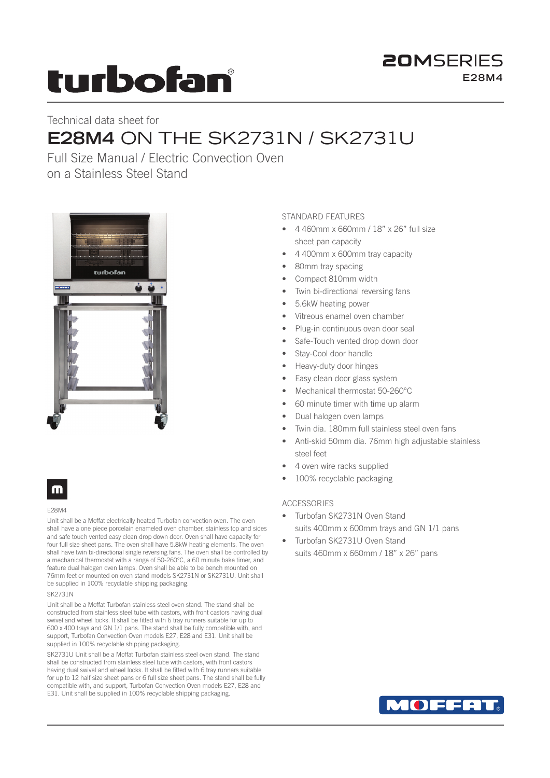# turbofan

### **20MSERIES E28M4**

## Technical data sheet for **E28M4** ON THE SK2731N / SK2731U

Full Size Manual / Electric Convection Oven on a Stainless Steel Stand



### m

### E28M4

Unit shall be a Moffat electrically heated Turbofan convection oven. The oven shall have a one piece porcelain enameled oven chamber, stainless top and sides and safe touch vented easy clean drop down door. Oven shall have capacity for four full size sheet pans. The oven shall have 5.8kW heating elements. The oven shall have twin bi-directional single reversing fans. The oven shall be controlled by a mechanical thermostat with a range of 50-260°C, a 60 minute bake timer, and feature dual halogen oven lamps. Oven shall be able to be bench mounted on 76mm feet or mounted on oven stand models SK2731N or SK2731U. Unit shall be supplied in 100% recyclable shipping packaging.

### SK2731N

Unit shall be a Moffat Turbofan stainless steel oven stand. The stand shall be constructed from stainless steel tube with castors, with front castors having dual swivel and wheel locks. It shall be fitted with 6 tray runners suitable for up to 600 x 400 trays and GN 1/1 pans. The stand shall be fully compatible with, and support, Turbofan Convection Oven models E27, E28 and E31. Unit shall be supplied in 100% recyclable shipping packaging.

SK2731U Unit shall be a Moffat Turbofan stainless steel oven stand. The stand shall be constructed from stainless steel tube with castors, with front castors having dual swivel and wheel locks. It shall be fitted with 6 tray runners suitable for up to 12 half size sheet pans or 6 full size sheet pans. The stand shall be fully compatible with, and support, Turbofan Convection Oven models E27, E28 and E31. Unit shall be supplied in 100% recyclable shipping packaging.

### STANDARD FEATURES

- 4 460mm x 660mm / 18" x 26" full size sheet pan capacity
- 4 400mm x 600mm tray capacity
- 80mm tray spacing
- Compact 810mm width
- Twin bi-directional reversing fans
- 5.6kW heating power
- Vitreous enamel oven chamber
- Plug-in continuous oven door seal
- Safe-Touch vented drop down door
- Stay-Cool door handle
- Heavy-duty door hinges
- Easy clean door glass system
- Mechanical thermostat 50-260°C
- 60 minute timer with time up alarm
- Dual halogen oven lamps
- Twin dia. 180mm full stainless steel oven fans
- Anti-skid 50mm dia. 76mm high adjustable stainless steel feet
- 4 oven wire racks supplied
- 100% recyclable packaging

### ACCESSORIES

- Turbofan SK2731N Oven Stand suits 400mm x 600mm trays and GN 1/1 pans
- Turbofan SK2731U Oven Stand suits 460mm x 660mm / 18" x 26" pans